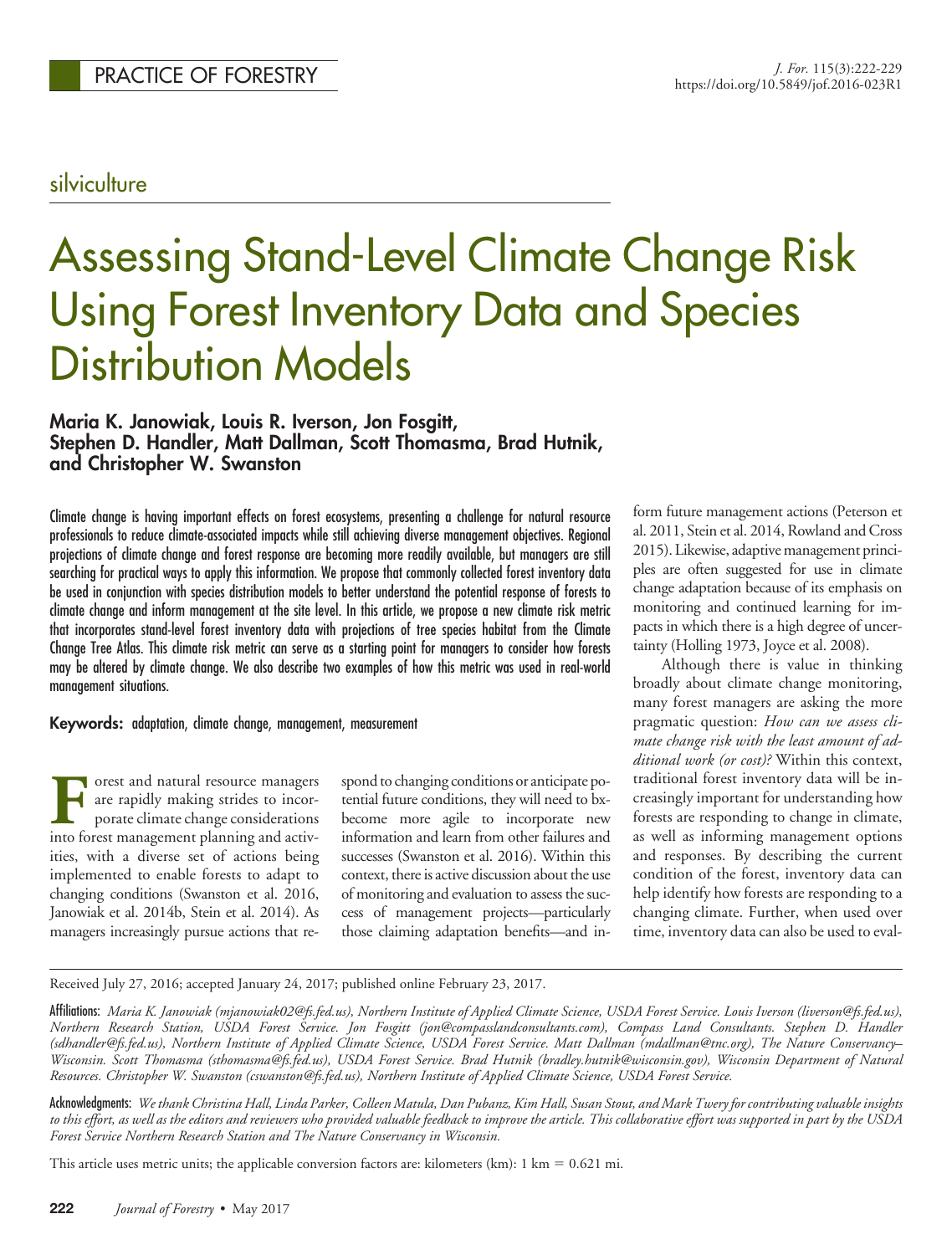## silviculture

# Assessing Stand-Level Climate Change Risk Using Forest Inventory Data and Species Distribution Models

## **Maria K. Janowiak, Louis R. Iverson, Jon Fosgitt, Stephen D. Handler, Matt Dallman, Scott Thomasma, Brad Hutnik, and Christopher W. Swanston**

Climate change is having important effects on forest ecosystems, presenting a challenge for natural resource professionals to reduce climate-associated impacts while still achieving diverse management objectives. Regional projections of climate change and forest response are becoming more readily available, but managers are still searching for practical ways to apply this information. We propose that commonly collected forest inventory data be used in conjunction with species distribution models to better understand the potential response of forests to climate change and inform management at the site level. In this article, we propose a new climate risk metric that incorporates stand-level forest inventory data with projections of tree species habitat from the Climate Change Tree Atlas. This climate risk metric can serve as a starting point for managers to consider how forests may be altered by climate change. We also describe two examples of how this metric was used in real-world management situations.

**Keywords:** adaptation, climate change, management, measurement

Forest and natural resource managers<br>are rapidly making strides to incor-<br>porate climate change considerations<br>into forest management planning and activare rapidly making strides to incorporate climate change considerations into forest management planning and activities, with a diverse set of actions being implemented to enable forests to adapt to changing conditions (Swanston et al. 2016, Janowiak et al. 2014b, Stein et al. 2014). As managers increasingly pursue actions that re-

spond to changing conditions or anticipate potential future conditions, they will need to bxbecome more agile to incorporate new information and learn from other failures and successes (Swanston et al. 2016). Within this context, there is active discussion about the use of monitoring and evaluation to assess the success of management projects—particularly those claiming adaptation benefits—and inform future management actions (Peterson et al. 2011, Stein et al. 2014, Rowland and Cross 2015). Likewise, adaptive management principles are often suggested for use in climate change adaptation because of its emphasis on monitoring and continued learning for impacts in which there is a high degree of uncertainty (Holling 1973, Joyce et al. 2008).

Although there is value in thinking broadly about climate change monitoring, many forest managers are asking the more pragmatic question: *How can we assess climate change risk with the least amount of additional work (or cost)?* Within this context, traditional forest inventory data will be increasingly important for understanding how forests are responding to change in climate, as well as informing management options and responses. By describing the current condition of the forest, inventory data can help identify how forests are responding to a changing climate. Further, when used over time, inventory data can also be used to eval-

Received July 27, 2016; accepted January 24, 2017; published online February 23, 2017.

Acknowledgments: *We thank Christina Hall, Linda Parker, Colleen Matula, Dan Pubanz, Kim Hall, Susan Stout, and Mark Twery for contributing valuable insights to this effort, as well as the editors and reviewers who provided valuable feedback to improve the article. This collaborative effort was supported in part by the USDA Forest Service Northern Research Station and The Nature Conservancy in Wisconsin.*

This article uses metric units; the applicable conversion factors are: kilometers (km):  $1 \text{ km} = 0.621 \text{ mi}$ .

Affiliations: *Maria K. Janowiak (mjanowiak02@fs.fed.us), Northern Institute of Applied Climate Science, USDA Forest Service. Louis Iverson (liverson@fs.fed.us), Northern Research Station, USDA Forest Service. Jon Fosgitt (jon@compasslandconsultants.com), Compass Land Consultants. Stephen D. Handler (sdhandler@fs.fed.us), Northern Institute of Applied Climate Science, USDA Forest Service. Matt Dallman (mdallman@tnc.org), The Nature Conservancy– Wisconsin. Scott Thomasma (sthomasma@fs.fed.us), USDA Forest Service. Brad Hutnik (bradley.hutnik@wisconsin.gov), Wisconsin Department of Natural Resources. Christopher W. Swanston (cswanston@fs.fed.us), Northern Institute of Applied Climate Science, USDA Forest Service.*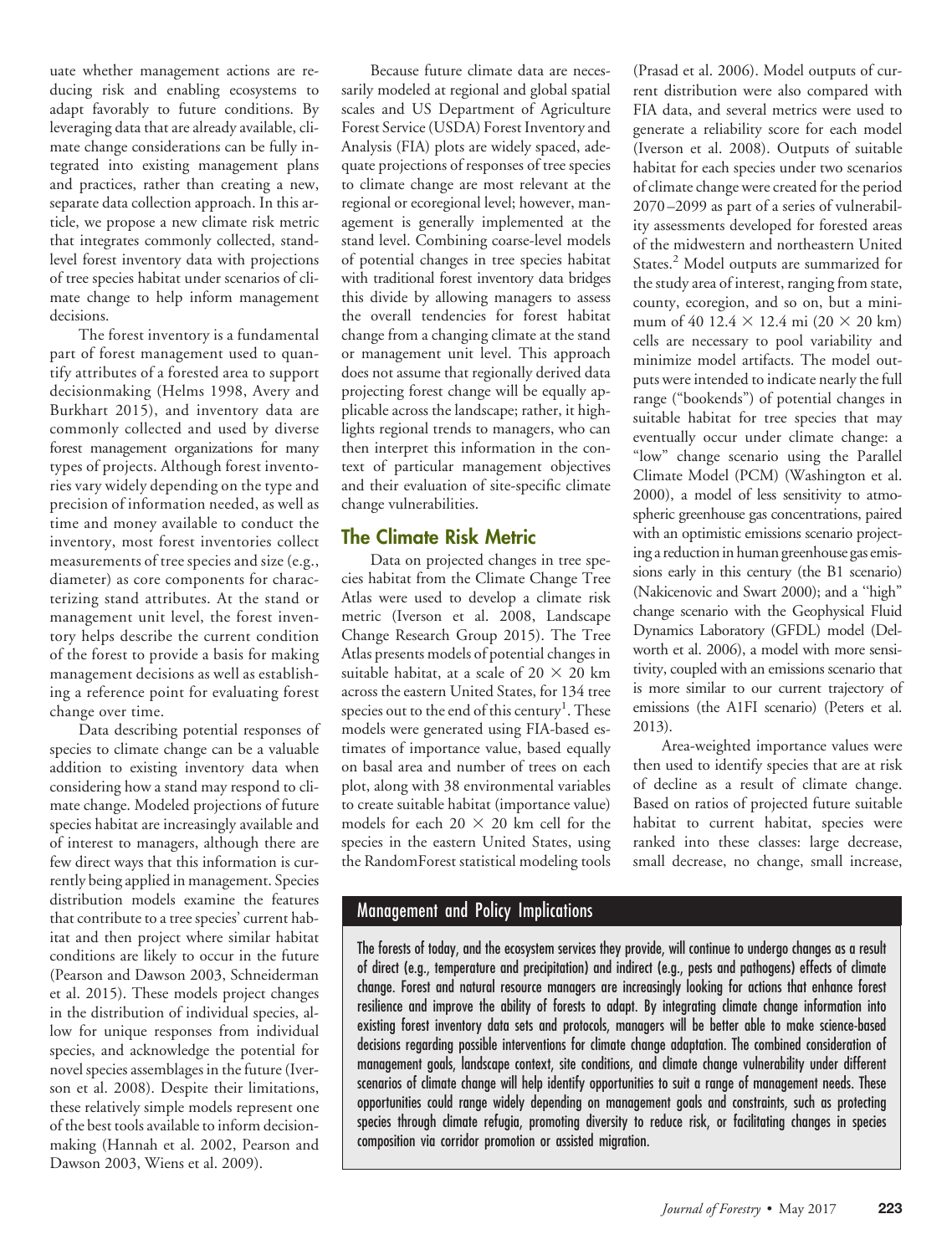uate whether management actions are reducing risk and enabling ecosystems to adapt favorably to future conditions. By leveraging data that are already available, climate change considerations can be fully integrated into existing management plans and practices, rather than creating a new, separate data collection approach. In this article, we propose a new climate risk metric that integrates commonly collected, standlevel forest inventory data with projections of tree species habitat under scenarios of climate change to help inform management decisions.

The forest inventory is a fundamental part of forest management used to quantify attributes of a forested area to support decisionmaking (Helms 1998, Avery and Burkhart 2015), and inventory data are commonly collected and used by diverse forest management organizations for many types of projects. Although forest inventories vary widely depending on the type and precision of information needed, as well as time and money available to conduct the inventory, most forest inventories collect measurements of tree species and size (e.g., diameter) as core components for characterizing stand attributes. At the stand or management unit level, the forest inventory helps describe the current condition of the forest to provide a basis for making management decisions as well as establishing a reference point for evaluating forest change over time.

Data describing potential responses of species to climate change can be a valuable addition to existing inventory data when considering how a stand may respond to climate change. Modeled projections of future species habitat are increasingly available and of interest to managers, although there are few direct ways that this information is currently being applied in management. Species distribution models examine the features that contribute to a tree species' current habitat and then project where similar habitat conditions are likely to occur in the future (Pearson and Dawson 2003, Schneiderman et al. 2015). These models project changes in the distribution of individual species, allow for unique responses from individual species, and acknowledge the potential for novel species assemblages in the future (Iverson et al. 2008). Despite their limitations, these relatively simple models represent one of the best tools available to inform decisionmaking (Hannah et al. 2002, Pearson and Dawson 2003, Wiens et al. 2009).

Because future climate data are necessarily modeled at regional and global spatial scales and US Department of Agriculture Forest Service (USDA) Forest Inventory and Analysis (FIA) plots are widely spaced, adequate projections of responses of tree species to climate change are most relevant at the regional or ecoregional level; however, management is generally implemented at the stand level. Combining coarse-level models of potential changes in tree species habitat with traditional forest inventory data bridges this divide by allowing managers to assess the overall tendencies for forest habitat change from a changing climate at the stand or management unit level. This approach does not assume that regionally derived data projecting forest change will be equally applicable across the landscape; rather, it highlights regional trends to managers, who can then interpret this information in the context of particular management objectives and their evaluation of site-specific climate change vulnerabilities.

## **The Climate Risk Metric**

Data on projected changes in tree species habitat from the Climate Change Tree Atlas were used to develop a climate risk metric (Iverson et al. 2008, Landscape Change Research Group 2015). The Tree Atlas presents models of potential changes in suitable habitat, at a scale of  $20 \times 20$  km across the eastern United States, for 134 tree species out to the end of this century<sup>1</sup>. These models were generated using FIA-based estimates of importance value, based equally on basal area and number of trees on each plot, along with 38 environmental variables to create suitable habitat (importance value) models for each 20  $\times$  20 km cell for the species in the eastern United States, using the RandomForest statistical modeling tools

## Management and Policy Implications

The forests of today, and the ecosystem services they provide, will continue to undergo changes as a result of direct (e.g., temperature and precipitation) and indirect (e.g., pests and pathogens) effects of climate change. Forest and natural resource managers are increasingly looking for actions that enhance forest resilience and improve the ability of forests to adapt. By integrating climate change information into existing forest inventory data sets and protocols, managers will be better able to make science-based decisions regarding possible interventions for climate change adaptation. The combined consideration of management goals, landscape context, site conditions, and climate change vulnerability under different scenarios of climate change will help identify opportunities to suit a range of management needs. These opportunities could range widely depending on management goals and constraints, such as protecting species through climate refugia, promoting diversity to reduce risk, or facilitating changes in species composition via corridor promotion or assisted migration.

(Prasad et al. 2006). Model outputs of current distribution were also compared with FIA data, and several metrics were used to generate a reliability score for each model (Iverson et al. 2008). Outputs of suitable habitat for each species under two scenarios of climate change were created for the period 2070–2099 as part of a series of vulnerability assessments developed for forested areas of the midwestern and northeastern United States.2 Model outputs are summarized for the study area of interest, ranging from state, county, ecoregion, and so on, but a minimum of 40 12.4  $\times$  12.4 mi (20  $\times$  20 km) cells are necessary to pool variability and minimize model artifacts. The model outputs were intended to indicate nearly the full range ("bookends") of potential changes in suitable habitat for tree species that may eventually occur under climate change: a "low" change scenario using the Parallel Climate Model (PCM) (Washington et al. 2000), a model of less sensitivity to atmospheric greenhouse gas concentrations, paired with an optimistic emissions scenario projecting a reduction in human greenhouse gas emissions early in this century (the B1 scenario) (Nakicenovic and Swart 2000); and a ''high" change scenario with the Geophysical Fluid Dynamics Laboratory (GFDL) model (Delworth et al. 2006), a model with more sensitivity, coupled with an emissions scenario that is more similar to our current trajectory of emissions (the A1FI scenario) (Peters et al. 2013).

Area-weighted importance values were then used to identify species that are at risk of decline as a result of climate change. Based on ratios of projected future suitable habitat to current habitat, species were ranked into these classes: large decrease, small decrease, no change, small increase,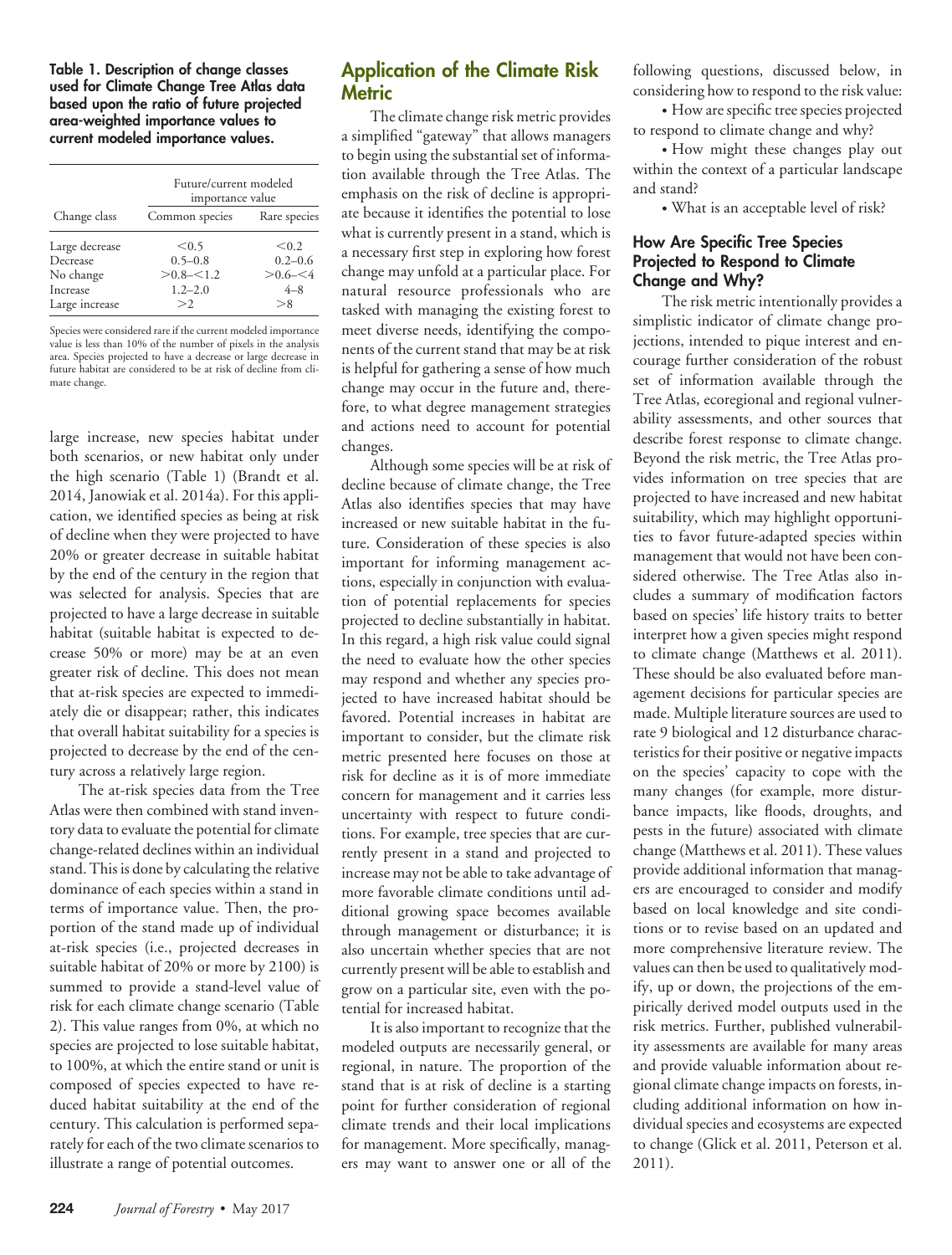**Table 1. Description of change classes used for Climate Change Tree Atlas data based upon the ratio of future projected area-weighted importance values to current modeled importance values.**

|                | Future/current modeled<br>importance value |              |  |  |  |
|----------------|--------------------------------------------|--------------|--|--|--|
| Change class   | Common species                             | Rare species |  |  |  |
| Large decrease | < 0.5                                      | < 0.2        |  |  |  |
| Decrease       | $0.5 - 0.8$                                | $0.2 - 0.6$  |  |  |  |
| No change      | $> 0.8 - 1.2$                              | $> 0.6 - 54$ |  |  |  |
| Increase       | $1.2 - 2.0$                                | $4 - 8$      |  |  |  |
| Large increase | >2                                         | > 8          |  |  |  |

Species were considered rare if the current modeled importance value is less than 10% of the number of pixels in the analysis area. Species projected to have a decrease or large decrease in future habitat are considered to be at risk of decline from climate change.

large increase, new species habitat under both scenarios, or new habitat only under the high scenario (Table 1) (Brandt et al. 2014, Janowiak et al. 2014a). For this application, we identified species as being at risk of decline when they were projected to have 20% or greater decrease in suitable habitat by the end of the century in the region that was selected for analysis. Species that are projected to have a large decrease in suitable habitat (suitable habitat is expected to decrease 50% or more) may be at an even greater risk of decline. This does not mean that at-risk species are expected to immediately die or disappear; rather, this indicates that overall habitat suitability for a species is projected to decrease by the end of the century across a relatively large region.

The at-risk species data from the Tree Atlas were then combined with stand inventory data to evaluate the potential for climate change-related declines within an individual stand. This is done by calculating the relative dominance of each species within a stand in terms of importance value. Then, the proportion of the stand made up of individual at-risk species (i.e., projected decreases in suitable habitat of 20% or more by 2100) is summed to provide a stand-level value of risk for each climate change scenario (Table 2). This value ranges from 0%, at which no species are projected to lose suitable habitat, to 100%, at which the entire stand or unit is composed of species expected to have reduced habitat suitability at the end of the century. This calculation is performed separately for each of the two climate scenarios to illustrate a range of potential outcomes.

## **Application of the Climate Risk Metric**

The climate change risk metric provides a simplified "gateway" that allows managers to begin using the substantial set of information available through the Tree Atlas. The emphasis on the risk of decline is appropriate because it identifies the potential to lose what is currently present in a stand, which is a necessary first step in exploring how forest change may unfold at a particular place. For natural resource professionals who are tasked with managing the existing forest to meet diverse needs, identifying the components of the current stand that may be at risk is helpful for gathering a sense of how much change may occur in the future and, therefore, to what degree management strategies and actions need to account for potential changes.

Although some species will be at risk of decline because of climate change, the Tree Atlas also identifies species that may have increased or new suitable habitat in the future. Consideration of these species is also important for informing management actions, especially in conjunction with evaluation of potential replacements for species projected to decline substantially in habitat. In this regard, a high risk value could signal the need to evaluate how the other species may respond and whether any species projected to have increased habitat should be favored. Potential increases in habitat are important to consider, but the climate risk metric presented here focuses on those at risk for decline as it is of more immediate concern for management and it carries less uncertainty with respect to future conditions. For example, tree species that are currently present in a stand and projected to increase may not be able to take advantage of more favorable climate conditions until additional growing space becomes available through management or disturbance; it is also uncertain whether species that are not currently present will be able to establish and grow on a particular site, even with the potential for increased habitat.

It is also important to recognize that the modeled outputs are necessarily general, or regional, in nature. The proportion of the stand that is at risk of decline is a starting point for further consideration of regional climate trends and their local implications for management. More specifically, managers may want to answer one or all of the

following questions, discussed below, in considering how to respond to the risk value:

• How are specific tree species projected to respond to climate change and why?

• How might these changes play out within the context of a particular landscape and stand?

• What is an acceptable level of risk?

### **How Are Specific Tree Species Projected to Respond to Climate Change and Why?**

The risk metric intentionally provides a simplistic indicator of climate change projections, intended to pique interest and encourage further consideration of the robust set of information available through the Tree Atlas, ecoregional and regional vulnerability assessments, and other sources that describe forest response to climate change. Beyond the risk metric, the Tree Atlas provides information on tree species that are projected to have increased and new habitat suitability, which may highlight opportunities to favor future-adapted species within management that would not have been considered otherwise. The Tree Atlas also includes a summary of modification factors based on species' life history traits to better interpret how a given species might respond to climate change (Matthews et al. 2011). These should be also evaluated before management decisions for particular species are made. Multiple literature sources are used to rate 9 biological and 12 disturbance characteristics for their positive or negative impacts on the species' capacity to cope with the many changes (for example, more disturbance impacts, like floods, droughts, and pests in the future) associated with climate change (Matthews et al. 2011). These values provide additional information that managers are encouraged to consider and modify based on local knowledge and site conditions or to revise based on an updated and more comprehensive literature review. The values can then be used to qualitatively modify, up or down, the projections of the empirically derived model outputs used in the risk metrics. Further, published vulnerability assessments are available for many areas and provide valuable information about regional climate change impacts on forests, including additional information on how individual species and ecosystems are expected to change (Glick et al. 2011, Peterson et al. 2011).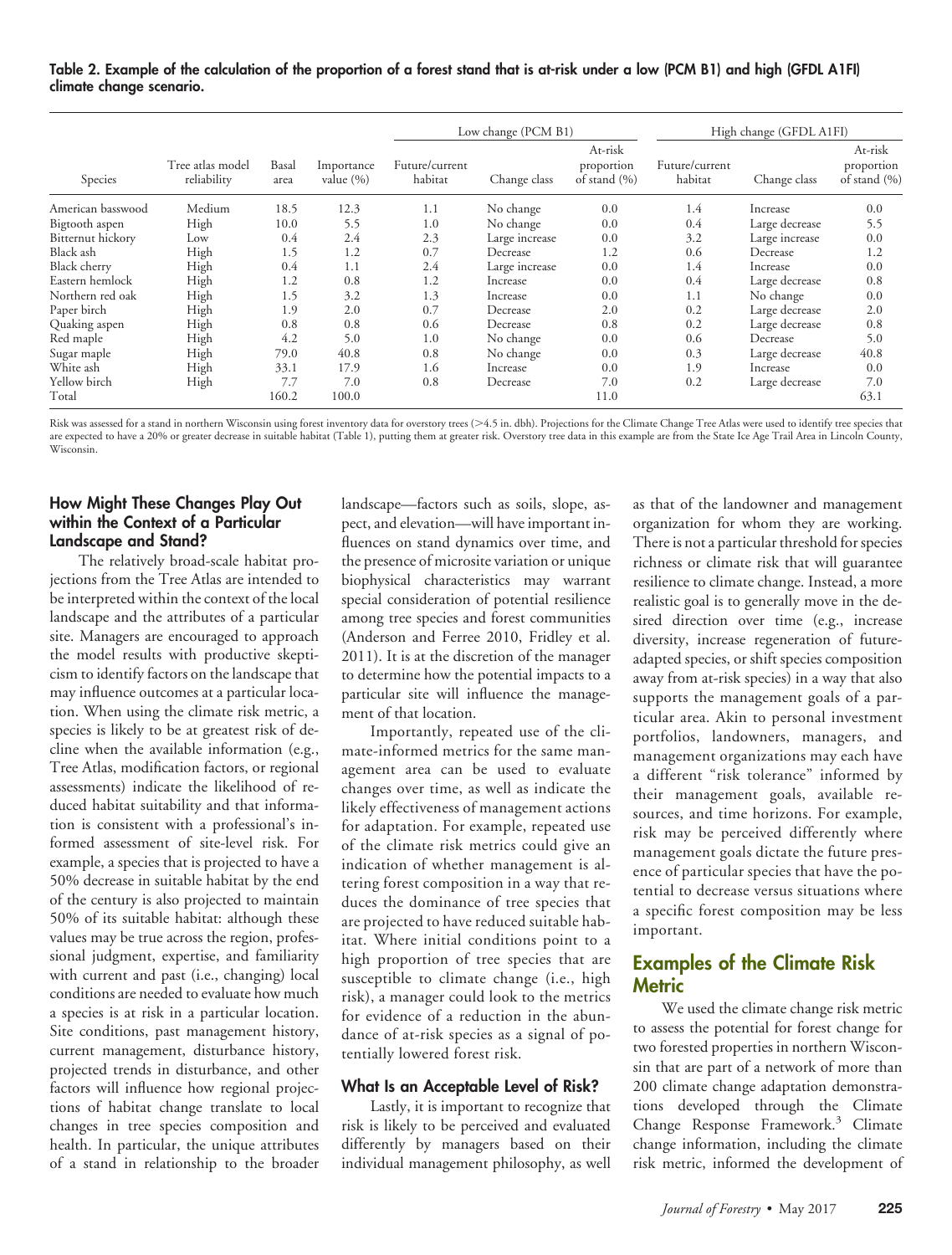#### **Table 2. Example of the calculation of the proportion of a forest stand that is at-risk under a low (PCM B1) and high (GFDL A1FI) climate change scenario.**

| Species           | Tree atlas model<br>reliability | Basal<br>area | Importance<br>value $(\% )$ | Low change (PCM B1)       |                |                                           | High change (GFDL A1FI)   |                |                                       |
|-------------------|---------------------------------|---------------|-----------------------------|---------------------------|----------------|-------------------------------------------|---------------------------|----------------|---------------------------------------|
|                   |                                 |               |                             | Future/current<br>habitat | Change class   | At-risk<br>proportion<br>of stand $(\% )$ | Future/current<br>habitat | Change class   | At-risk<br>proportion<br>of stand (%) |
| American basswood | Medium                          | 18.5          | 12.3                        | 1.1                       | No change      | 0.0                                       | 1.4                       | Increase       | 0.0                                   |
| Bigtooth aspen    | High                            | 10.0          | 5.5                         | 1.0                       | No change      | 0.0                                       | 0.4                       | Large decrease | 5.5                                   |
| Bitternut hickory | Low                             | 0.4           | 2.4                         | 2.3                       | Large increase | 0.0                                       | 3.2                       | Large increase | 0.0                                   |
| Black ash         | High                            | 1.5           | 1.2                         | 0.7                       | Decrease       | 1.2                                       | 0.6                       | Decrease       | 1.2                                   |
| Black cherry      | High                            | 0.4           | 1.1                         | 2.4                       | Large increase | 0.0                                       | 1.4                       | Increase       | 0.0                                   |
| Eastern hemlock   | High                            | 1.2           | 0.8                         | 1.2                       | Increase       | 0.0                                       | 0.4                       | Large decrease | 0.8                                   |
| Northern red oak  | High                            | 1.5           | 3.2                         | 1.3                       | Increase       | 0.0                                       | 1.1                       | No change      | 0.0                                   |
| Paper birch       | High                            | 1.9           | 2.0                         | 0.7                       | Decrease       | 2.0                                       | 0.2                       | Large decrease | 2.0                                   |
| Quaking aspen     | High                            | 0.8           | 0.8                         | 0.6                       | Decrease       | 0.8                                       | 0.2                       | Large decrease | 0.8                                   |
| Red maple         | High                            | 4.2           | 5.0                         | 1.0                       | No change      | 0.0                                       | 0.6                       | Decrease       | 5.0                                   |
| Sugar maple       | High                            | 79.0          | 40.8                        | 0.8                       | No change      | 0.0                                       | 0.3                       | Large decrease | 40.8                                  |
| White ash         | High                            | 33.1          | 17.9                        | 1.6                       | Increase       | 0.0                                       | 1.9                       | Increase       | 0.0                                   |
| Yellow birch      | High                            | 7.7           | 7.0                         | 0.8                       | Decrease       | 7.0                                       | 0.2                       | Large decrease | 7.0                                   |
| Total             |                                 | 160.2         | 100.0                       |                           |                | 11.0                                      |                           |                | 63.1                                  |

Risk was assessed for a stand in northern Wisconsin using forest inventory data for overstory trees (>4.5 in. dbh). Projections for the Climate Change Tree Atlas were used to identify tree species that are expected to have a 20% or greater decrease in suitable habitat (Table 1), putting them at greater risk. Overstory tree data in this example are from the State Ice Age Trail Area in Lincoln County, Wisconsin.

#### **How Might These Changes Play Out within the Context of a Particular Landscape and Stand?**

The relatively broad-scale habitat projections from the Tree Atlas are intended to be interpreted within the context of the local landscape and the attributes of a particular site. Managers are encouraged to approach the model results with productive skepticism to identify factors on the landscape that may influence outcomes at a particular location. When using the climate risk metric, a species is likely to be at greatest risk of decline when the available information (e.g., Tree Atlas, modification factors, or regional assessments) indicate the likelihood of reduced habitat suitability and that information is consistent with a professional's informed assessment of site-level risk. For example, a species that is projected to have a 50% decrease in suitable habitat by the end of the century is also projected to maintain 50% of its suitable habitat: although these values may be true across the region, professional judgment, expertise, and familiarity with current and past (i.e., changing) local conditions are needed to evaluate how much a species is at risk in a particular location. Site conditions, past management history, current management, disturbance history, projected trends in disturbance, and other factors will influence how regional projections of habitat change translate to local changes in tree species composition and health. In particular, the unique attributes of a stand in relationship to the broader landscape—factors such as soils, slope, aspect, and elevation—will have important influences on stand dynamics over time, and the presence of microsite variation or unique biophysical characteristics may warrant special consideration of potential resilience among tree species and forest communities (Anderson and Ferree 2010, Fridley et al. 2011). It is at the discretion of the manager to determine how the potential impacts to a particular site will influence the management of that location.

Importantly, repeated use of the climate-informed metrics for the same management area can be used to evaluate changes over time, as well as indicate the likely effectiveness of management actions for adaptation. For example, repeated use of the climate risk metrics could give an indication of whether management is altering forest composition in a way that reduces the dominance of tree species that are projected to have reduced suitable habitat. Where initial conditions point to a high proportion of tree species that are susceptible to climate change (i.e., high risk), a manager could look to the metrics for evidence of a reduction in the abundance of at-risk species as a signal of potentially lowered forest risk.

#### **What Is an Acceptable Level of Risk?**

Lastly, it is important to recognize that risk is likely to be perceived and evaluated differently by managers based on their individual management philosophy, as well

as that of the landowner and management organization for whom they are working. There is not a particular threshold for species richness or climate risk that will guarantee resilience to climate change. Instead, a more realistic goal is to generally move in the desired direction over time (e.g., increase diversity, increase regeneration of futureadapted species, or shift species composition away from at-risk species) in a way that also supports the management goals of a particular area. Akin to personal investment portfolios, landowners, managers, and management organizations may each have a different "risk tolerance" informed by their management goals, available resources, and time horizons. For example, risk may be perceived differently where management goals dictate the future presence of particular species that have the potential to decrease versus situations where a specific forest composition may be less important.

## **Examples of the Climate Risk Metric**

We used the climate change risk metric to assess the potential for forest change for two forested properties in northern Wisconsin that are part of a network of more than 200 climate change adaptation demonstrations developed through the Climate Change Response Framework.<sup>3</sup> Climate change information, including the climate risk metric, informed the development of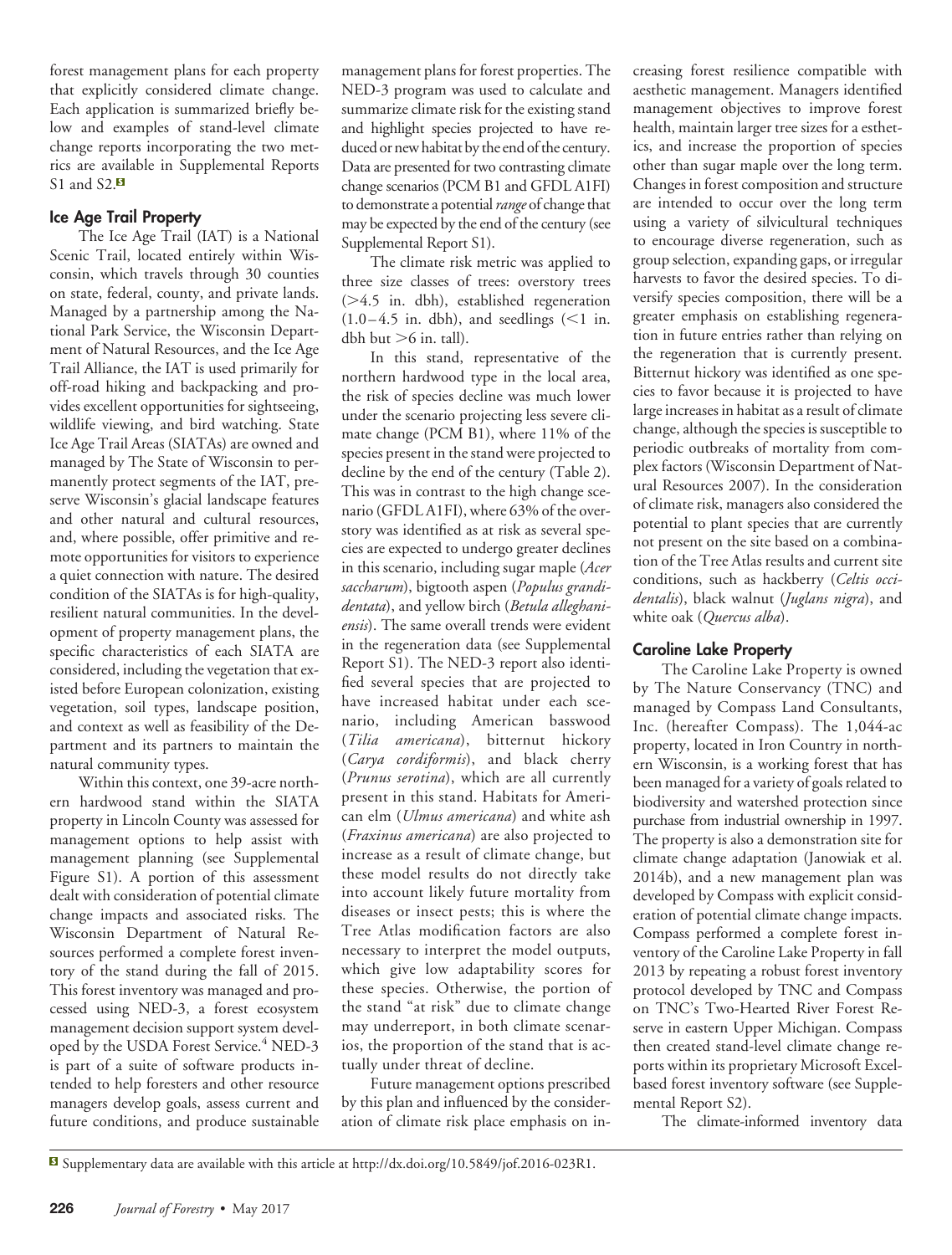forest management plans for each property that explicitly considered climate change. Each application is summarized briefly below and examples of stand-level climate change reports incorporating the two metrics are a[va](#page-4-0)ilable in Supplemental Reports S1 and S2.<sup>B</sup>

#### **Ice Age Trail Property**

The Ice Age Trail (IAT) is a National Scenic Trail, located entirely within Wisconsin, which travels through 30 counties on state, federal, county, and private lands. Managed by a partnership among the National Park Service, the Wisconsin Department of Natural Resources, and the Ice Age Trail Alliance, the IAT is used primarily for off-road hiking and backpacking and provides excellent opportunities for sightseeing, wildlife viewing, and bird watching. State Ice Age Trail Areas (SIATAs) are owned and managed by The State of Wisconsin to permanently protect segments of the IAT, preserve Wisconsin's glacial landscape features and other natural and cultural resources, and, where possible, offer primitive and remote opportunities for visitors to experience a quiet connection with nature. The desired condition of the SIATAs is for high-quality, resilient natural communities. In the development of property management plans, the specific characteristics of each SIATA are considered, including the vegetation that existed before European colonization, existing vegetation, soil types, landscape position, and context as well as feasibility of the Department and its partners to maintain the natural community types.

Within this context, one 39-acre northern hardwood stand within the SIATA property in Lincoln County was assessed for management options to help assist with management planning (see Supplemental Figure S1). A portion of this assessment dealt with consideration of potential climate change impacts and associated risks. The Wisconsin Department of Natural Resources performed a complete forest inventory of the stand during the fall of 2015. This forest inventory was managed and processed using NED-3, a forest ecosystem management decision support system developed by the USDA Forest Service.<sup>4</sup> NED-3 is part of a suite of software products intended to help foresters and other resource managers develop goals, assess current and future conditions, and produce sustainable

management plans for forest properties. The NED-3 program was used to calculate and summarize climate risk for the existing stand and highlight species projected to have reduced or new habitat by the end of the century. Data are presented for two contrasting climate change scenarios (PCM B1 and GFDL A1FI) to demonstrate a potential*range* of change that may be expected by the end of the century (see Supplemental Report S1).

The climate risk metric was applied to three size classes of trees: overstory trees  $(>4.5$  in. dbh), established regeneration  $(1.0-4.5$  in. dbh), and seedlings  $(<1$  in. dbh but  $>6$  in. tall).

In this stand, representative of the northern hardwood type in the local area, the risk of species decline was much lower under the scenario projecting less severe climate change (PCM B1), where 11% of the species present in the stand were projected to decline by the end of the century (Table 2). This was in contrast to the high change scenario (GFDL A1FI), where 63% of the overstory was identified as at risk as several species are expected to undergo greater declines in this scenario, including sugar maple (*Acer saccharum*), bigtooth aspen (*Populus grandidentata*), and yellow birch (*Betula alleghaniensis*). The same overall trends were evident in the regeneration data (see Supplemental Report S1). The NED-3 report also identified several species that are projected to have increased habitat under each scenario, including American basswood (*Tilia americana*), bitternut hickory (*Carya cordiformis*), and black cherry (*Prunus serotina*), which are all currently present in this stand. Habitats for American elm (*Ulmus americana*) and white ash (*Fraxinus americana*) are also projected to increase as a result of climate change, but these model results do not directly take into account likely future mortality from diseases or insect pests; this is where the Tree Atlas modification factors are also necessary to interpret the model outputs, which give low adaptability scores for these species. Otherwise, the portion of the stand "at risk" due to climate change may underreport, in both climate scenarios, the proportion of the stand that is actually under threat of decline.

Future management options prescribed by this plan and influenced by the consideration of climate risk place emphasis on increasing forest resilience compatible with aesthetic management. Managers identified management objectives to improve forest health, maintain larger tree sizes for a esthetics, and increase the proportion of species other than sugar maple over the long term. Changes in forest composition and structure are intended to occur over the long term using a variety of silvicultural techniques to encourage diverse regeneration, such as group selection, expanding gaps, or irregular harvests to favor the desired species. To diversify species composition, there will be a greater emphasis on establishing regeneration in future entries rather than relying on the regeneration that is currently present. Bitternut hickory was identified as one species to favor because it is projected to have large increases in habitat as a result of climate change, although the species is susceptible to periodic outbreaks of mortality from complex factors (Wisconsin Department of Natural Resources 2007). In the consideration of climate risk, managers also considered the potential to plant species that are currently not present on the site based on a combination of the Tree Atlas results and current site conditions, such as hackberry (*Celtis occidentalis*), black walnut (*Juglans nigra*), and white oak (*Quercus alba*).

#### **Caroline Lake Property**

The Caroline Lake Property is owned by The Nature Conservancy (TNC) and managed by Compass Land Consultants, Inc. (hereafter Compass). The 1,044-ac property, located in Iron Country in northern Wisconsin, is a working forest that has been managed for a variety of goals related to biodiversity and watershed protection since purchase from industrial ownership in 1997. The property is also a demonstration site for climate change adaptation (Janowiak et al. 2014b), and a new management plan was developed by Compass with explicit consideration of potential climate change impacts. Compass performed a complete forest inventory of the Caroline Lake Property in fall 2013 by repeating a robust forest inventory protocol developed by TNC and Compass on TNC's Two-Hearted River Forest Reserve in eastern Upper Michigan. Compass then created stand-level climate change reports within its proprietary Microsoft Excelbased forest inventory software (see Supplemental Report S2).

The climate-informed inventory data

<span id="page-4-0"></span>Supplementary data are available with this article at [http://dx.doi.org/10.5849/jof.2016-023R1.](http://dx.doi.org/10.5849/jof.2016-023R1)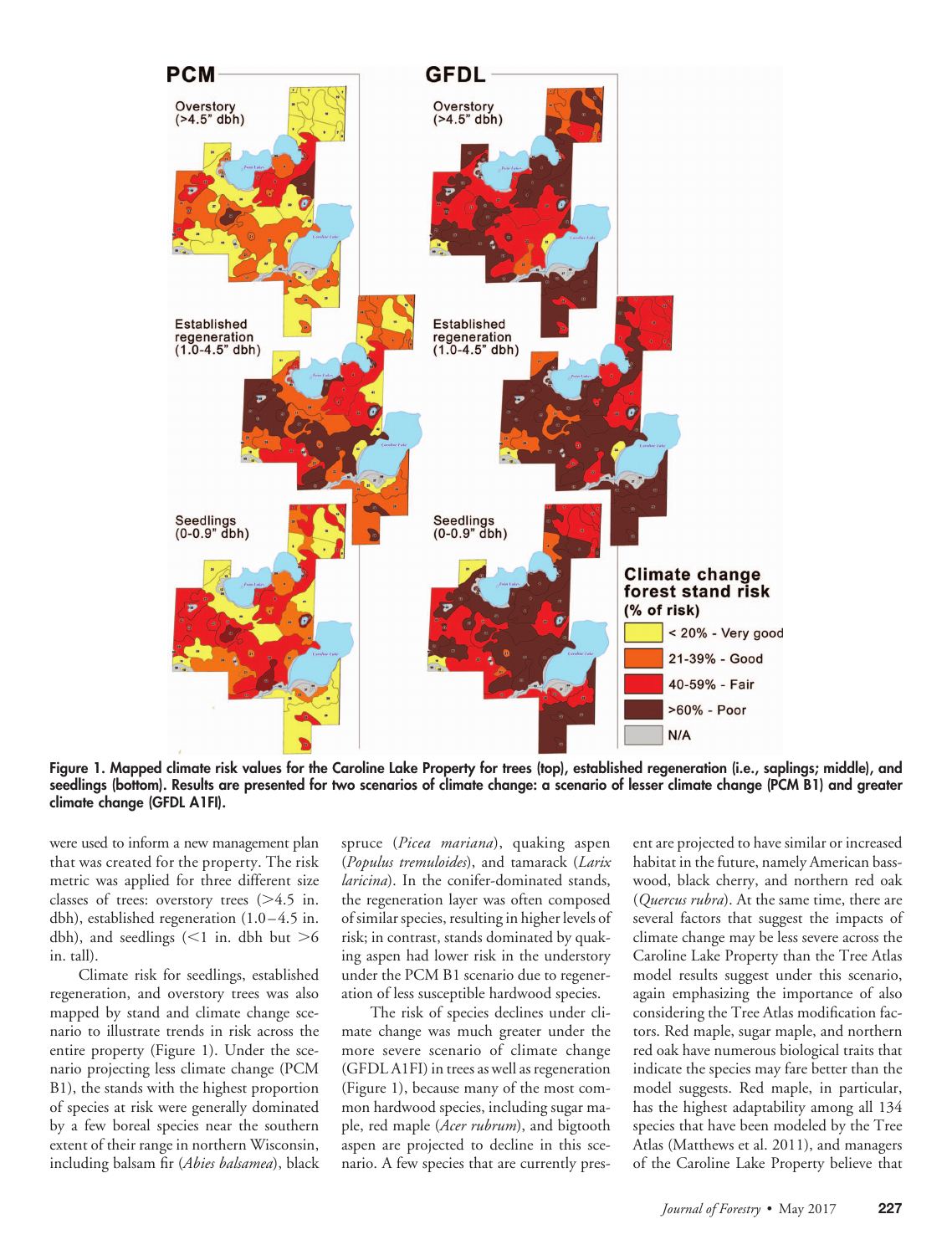

**Figure 1. Mapped climate risk values for the Caroline Lake Property for trees (top), established regeneration (i.e., saplings; middle), and seedlings (bottom). Results are presented for two scenarios of climate change: a scenario of lesser climate change (PCM B1) and greater climate change (GFDL A1FI).**

were used to inform a new management plan that was created for the property. The risk metric was applied for three different size classes of trees: overstory trees  $(>4.5$  in. dbh), established regeneration (1.0–4.5 in. dbh), and seedlings  $(<1$  in. dbh but  $>6$ in. tall).

Climate risk for seedlings, established regeneration, and overstory trees was also mapped by stand and climate change scenario to illustrate trends in risk across the entire property (Figure 1). Under the scenario projecting less climate change (PCM B1), the stands with the highest proportion of species at risk were generally dominated by a few boreal species near the southern extent of their range in northern Wisconsin, including balsam fir (*Abies balsamea*), black

spruce (*Picea mariana*), quaking aspen (*Populus tremuloides*), and tamarack (*Larix laricina*). In the conifer-dominated stands, the regeneration layer was often composed of similar species, resulting in higher levels of risk; in contrast, stands dominated by quaking aspen had lower risk in the understory under the PCM B1 scenario due to regeneration of less susceptible hardwood species.

The risk of species declines under climate change was much greater under the more severe scenario of climate change (GFDL A1FI) in trees as well as regeneration (Figure 1), because many of the most common hardwood species, including sugar maple, red maple (*Acer rubrum*), and bigtooth aspen are projected to decline in this scenario. A few species that are currently pres-

ent are projected to have similar or increased habitat in the future, namely American basswood, black cherry, and northern red oak (*Quercus rubra*). At the same time, there are several factors that suggest the impacts of climate change may be less severe across the Caroline Lake Property than the Tree Atlas model results suggest under this scenario, again emphasizing the importance of also considering the Tree Atlas modification factors. Red maple, sugar maple, and northern red oak have numerous biological traits that indicate the species may fare better than the model suggests. Red maple, in particular, has the highest adaptability among all 134 species that have been modeled by the Tree Atlas (Matthews et al. 2011), and managers of the Caroline Lake Property believe that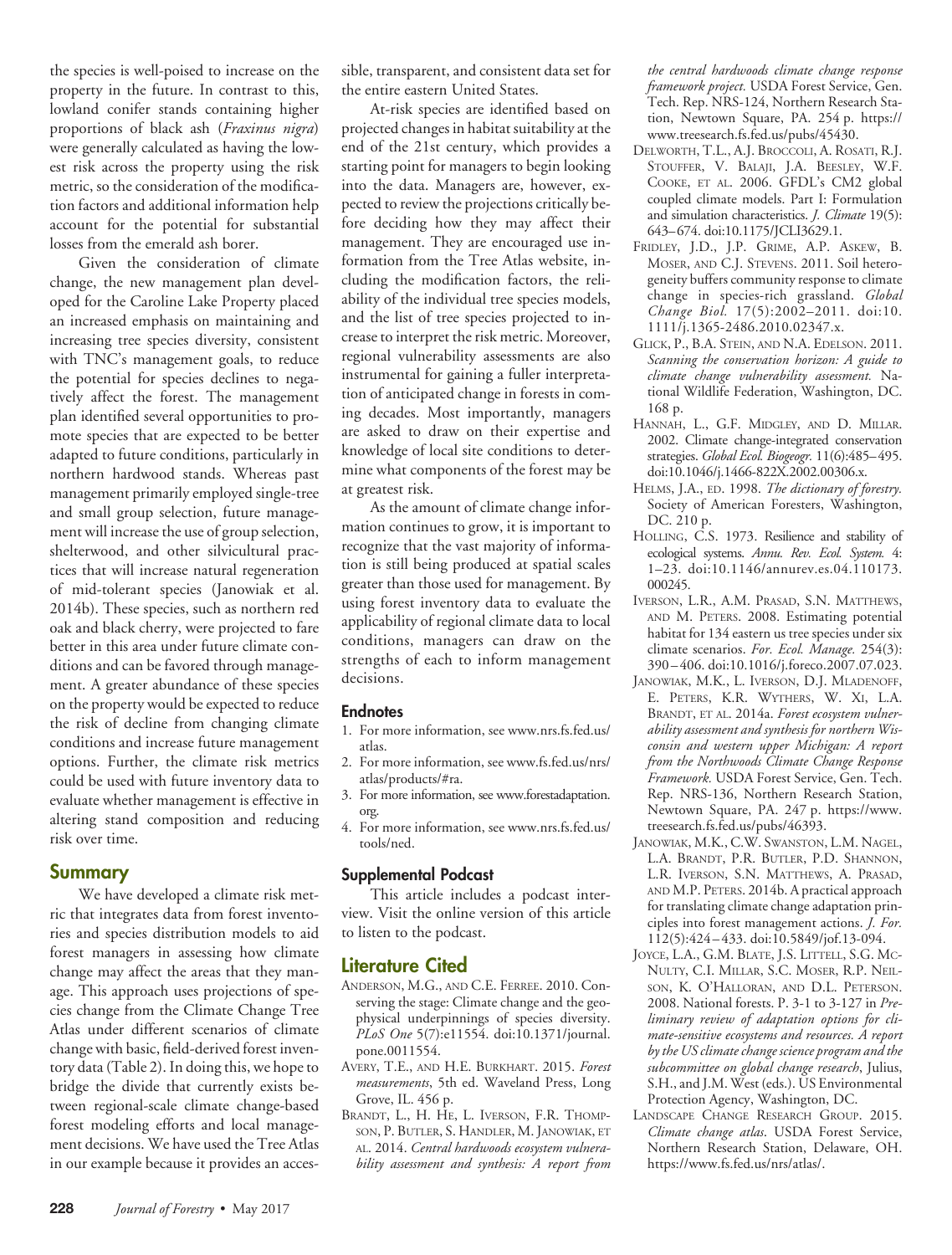the species is well-poised to increase on the property in the future. In contrast to this, lowland conifer stands containing higher proportions of black ash (*Fraxinus nigra*) were generally calculated as having the lowest risk across the property using the risk metric, so the consideration of the modification factors and additional information help account for the potential for substantial losses from the emerald ash borer.

Given the consideration of climate change, the new management plan developed for the Caroline Lake Property placed an increased emphasis on maintaining and increasing tree species diversity, consistent with TNC's management goals, to reduce the potential for species declines to negatively affect the forest. The management plan identified several opportunities to promote species that are expected to be better adapted to future conditions, particularly in northern hardwood stands. Whereas past management primarily employed single-tree and small group selection, future management will increase the use of group selection, shelterwood, and other silvicultural practices that will increase natural regeneration of mid-tolerant species (Janowiak et al. 2014b). These species, such as northern red oak and black cherry, were projected to fare better in this area under future climate conditions and can be favored through management. A greater abundance of these species on the property would be expected to reduce the risk of decline from changing climate conditions and increase future management options. Further, the climate risk metrics could be used with future inventory data to evaluate whether management is effective in altering stand composition and reducing risk over time.

#### **Summary**

We have developed a climate risk metric that integrates data from forest inventories and species distribution models to aid forest managers in assessing how climate change may affect the areas that they manage. This approach uses projections of species change from the Climate Change Tree Atlas under different scenarios of climate change with basic, field-derived forest inventory data (Table 2). In doing this, we hope to bridge the divide that currently exists between regional-scale climate change-based forest modeling efforts and local management decisions. We have used the Tree Atlas in our example because it provides an accessible, transparent, and consistent data set for the entire eastern United States.

At-risk species are identified based on projected changes in habitat suitability at the end of the 21st century, which provides a starting point for managers to begin looking into the data. Managers are, however, expected to review the projections critically before deciding how they may affect their management. They are encouraged use information from the Tree Atlas website, including the modification factors, the reliability of the individual tree species models, and the list of tree species projected to increase to interpret the risk metric. Moreover, regional vulnerability assessments are also instrumental for gaining a fuller interpretation of anticipated change in forests in coming decades. Most importantly, managers are asked to draw on their expertise and knowledge of local site conditions to determine what components of the forest may be at greatest risk.

As the amount of climate change information continues to grow, it is important to recognize that the vast majority of information is still being produced at spatial scales greater than those used for management. By using forest inventory data to evaluate the applicability of regional climate data to local conditions, managers can draw on the strengths of each to inform management decisions.

#### **Endnotes**

- 1. For more information, see [www.nrs.fs.fed.us/](http://www.nrs.fs.fed.us/atlas) [atlas.](http://www.nrs.fs.fed.us/atlas)
- 2. For more information, see [www.fs.fed.us/nrs/](http://www.fs.fed.us/nrs/atlas/products/#ra) [atlas/products/#ra.](http://www.fs.fed.us/nrs/atlas/products/#ra)
- 3. For more information, see [www.forestadaptation.](http://www.forestadaptation.org) [org.](http://www.forestadaptation.org)
- 4. For more information, see [www.nrs.fs.fed.us/](http://www.nrs.fs.fed.us/tools/ned) [tools/ned.](http://www.nrs.fs.fed.us/tools/ned)

#### **Supplemental Podcast**

This article includes a podcast interview. Visit the online version of this article to listen to the podcast.

#### **Literature Cited**

- ANDERSON, M.G., AND C.E. FERREE. 2010. Conserving the stage: Climate change and the geophysical underpinnings of species diversity. *PLoS One* 5(7):e11554. [doi:10.1371/journal.](http://dx.doi.org/10.1371/journal.pone.0011554) [pone.0011554.](http://dx.doi.org/10.1371/journal.pone.0011554)
- AVERY, T.E., AND H.E. BURKHART. 2015. *Forest measurements*, 5th ed. Waveland Press, Long Grove, IL. 456 p.
- BRANDT, L., H. HE, L. IVERSON, F.R. THOMP-SON, P. BUTLER, S. HANDLER, M. JANOWIAK, ET AL. 2014. *Central hardwoods ecosystem vulnerability assessment and synthesis: A report from*

*the central hardwoods climate change response framework project.* USDA Forest Service, Gen. Tech. Rep. NRS-124, Northern Research Station, Newtown Square, PA. 254 p. [https://](https://www.treesearch.fs.fed.us/pubs/45430) [www.treesearch.fs.fed.us/pubs/45430.](https://www.treesearch.fs.fed.us/pubs/45430)

- DELWORTH, T.L., A.J. BROCCOLI, A. ROSATI, R.J. STOUFFER, V. BALAJI, J.A. BEESLEY, W.F. COOKE, ET AL. 2006. GFDL's CM2 global coupled climate models. Part I: Formulation and simulation characteristics. *J. Climate* 19(5): 643–674. [doi:10.1175/JCLI3629.1.](http://dx.doi.org/10.1175/JCLI3629.1)
- FRIDLEY, J.D., J.P. GRIME, A.P. ASKEW, B. MOSER, AND C.J. STEVENS. 2011. Soil heterogeneity buffers community response to climate change in species-rich grassland. *Global Change Biol.* 17(5):2002–2011. [doi:10.](http://dx.doi.org/10.1111/j.1365-2486.2010.02347.x) [1111/j.1365-2486.2010.02347.x.](http://dx.doi.org/10.1111/j.1365-2486.2010.02347.x)
- GLICK, P., B.A. STEIN, AND N.A. EDELSON. 2011. *Scanning the conservation horizon: A guide to climate change vulnerability assessment.* National Wildlife Federation, Washington, DC. 168 p.
- HANNAH, L., G.F. MIDGLEY, AND D. MILLAR. 2002. Climate change-integrated conservation strategies. *Global Ecol. Biogeogr.* 11(6):485–495. [doi:10.1046/j.1466-822X.2002.00306.x.](http://dx.doi.org/10.1046/j.1466-822X.2002.00306.x)
- HELMS, J.A., ED. 1998. *The dictionary of forestry.* Society of American Foresters, Washington, DC. 210 p.
- HOLLING, C.S. 1973. Resilience and stability of ecological systems. *Annu. Rev. Ecol. System.* 4: 1–23. [doi:10.1146/annurev.es.04.110173.](http://dx.doi.org/10.1146/annurev.es.04.110173.000245) [000245.](http://dx.doi.org/10.1146/annurev.es.04.110173.000245)
- IVERSON, L.R., A.M. PRASAD, S.N. MATTHEWS, AND M. PETERS. 2008. Estimating potential habitat for 134 eastern us tree species under six climate scenarios. *For. Ecol. Manage.* 254(3): 390–406. [doi:10.1016/j.foreco.2007.07.023.](http://dx.doi.org/10.1016/j.foreco.2007.07.023)
- JANOWIAK, M.K., L. IVERSON, D.J. MLADENOFF, E. PETERS, K.R. WYTHERS, W. XI, L.A. BRANDT, ET AL. 2014a. *Forest ecosystem vulnerability assessment and synthesis for northern Wisconsin and western upper Michigan: A report from the Northwoods Climate Change Response Framework.* USDA Forest Service, Gen. Tech. Rep. NRS-136, Northern Research Station, Newtown Square, PA. 247 p. [https://www.](https://www.treesearch.fs.fed.us/pubs/46393) [treesearch.fs.fed.us/pubs/46393.](https://www.treesearch.fs.fed.us/pubs/46393)
- JANOWIAK, M.K., C.W. SWANSTON, L.M. NAGEL, L.A. BRANDT, P.R. BUTLER, P.D. SHANNON, L.R. IVERSON, S.N. MATTHEWS, A. PRASAD, AND M.P. PETERS. 2014b. A practical approach for translating climate change adaptation principles into forest management actions. *J. For.* 112(5):424–433. [doi:10.5849/jof.13-094.](http://dx.doi.org/10.5849/jof.13-094)
- JOYCE, L.A., G.M. BLATE, J.S. LITTELL, S.G. MC-NULTY, C.I. MILLAR, S.C. MOSER, R.P. NEIL-SON, K. O'HALLORAN, AND D.L. PETERSON. 2008. National forests. P. 3-1 to 3-127 in *Preliminary review of adaptation options for climate-sensitive ecosystems and resources. A report by the US climate change science program and the subcommittee on global change research*, Julius, S.H., and J.M. West (eds.). US Environmental Protection Agency, Washington, DC.
- LANDSCAPE CHANGE RESEARCH GROUP. 2015. *Climate change atlas*. USDA Forest Service, Northern Research Station, Delaware, OH. [https://www.fs.fed.us/nrs/atlas/.](https://www.fs.fed.us/nrs/atlas/)